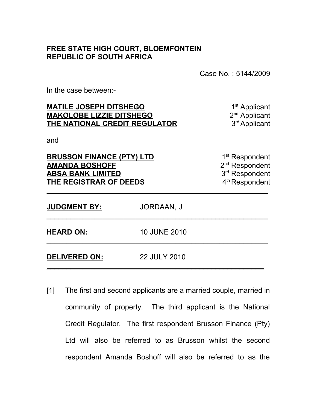## **FREE STATE HIGH COURT, BLOEMFONTEIN REPUBLIC OF SOUTH AFRICA**

Case No. : 5144/2009

In the case between:-

| <b>MATILE JOSEPH DITSHEGO</b><br><b>MAKOLOBE LIZZIE DITSHEGO</b><br>THE NATIONAL CREDIT REGULATOR<br>and<br><b>BRUSSON FINANCE (PTY) LTD</b><br><b>AMANDA BOSHOFF</b><br><b>ABSA BANK LIMITED</b><br>THE REGISTRAR OF DEEDS |                     | 1 <sup>st</sup> Applicant<br>2 <sup>nd</sup> Applicant<br>3 <sup>rd</sup> Applicant<br>1 <sup>st</sup> Respondent<br>2 <sup>nd</sup> Respondent<br>3rd Respondent<br>4 <sup>th</sup> Respondent |
|-----------------------------------------------------------------------------------------------------------------------------------------------------------------------------------------------------------------------------|---------------------|-------------------------------------------------------------------------------------------------------------------------------------------------------------------------------------------------|
|                                                                                                                                                                                                                             |                     |                                                                                                                                                                                                 |
| <b>HEARD ON:</b>                                                                                                                                                                                                            | <b>10 JUNE 2010</b> |                                                                                                                                                                                                 |
| <b>DELIVERED ON:</b>                                                                                                                                                                                                        | 22 JULY 2010        |                                                                                                                                                                                                 |

[1] The first and second applicants are a married couple, married in community of property. The third applicant is the National Credit Regulator. The first respondent Brusson Finance (Pty) Ltd will also be referred to as Brusson whilst the second respondent Amanda Boshoff will also be referred to as the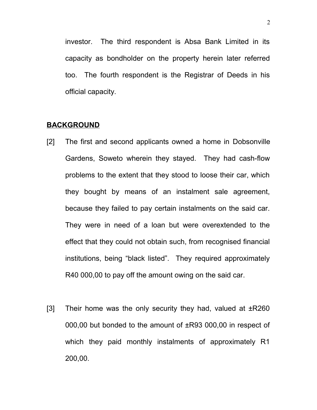investor. The third respondent is Absa Bank Limited in its capacity as bondholder on the property herein later referred too. The fourth respondent is the Registrar of Deeds in his official capacity.

#### **BACKGROUND**

- [2] The first and second applicants owned a home in Dobsonville Gardens, Soweto wherein they stayed. They had cash-flow problems to the extent that they stood to loose their car, which they bought by means of an instalment sale agreement, because they failed to pay certain instalments on the said car. They were in need of a loan but were overextended to the effect that they could not obtain such, from recognised financial institutions, being "black listed". They required approximately R40 000,00 to pay off the amount owing on the said car.
- [3] Their home was the only security they had, valued at  $\pm$ R260 000,00 but bonded to the amount of ±R93 000,00 in respect of which they paid monthly instalments of approximately R1 200,00.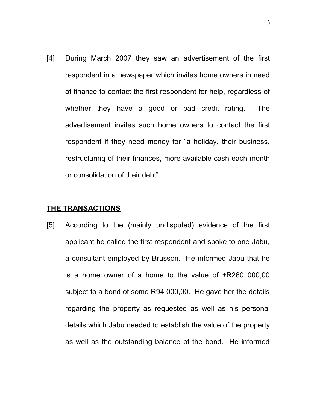[4] During March 2007 they saw an advertisement of the first respondent in a newspaper which invites home owners in need of finance to contact the first respondent for help, regardless of whether they have a good or bad credit rating. The advertisement invites such home owners to contact the first respondent if they need money for "a holiday, their business, restructuring of their finances, more available cash each month or consolidation of their debt".

#### **THE TRANSACTIONS**

[5] According to the (mainly undisputed) evidence of the first applicant he called the first respondent and spoke to one Jabu, a consultant employed by Brusson. He informed Jabu that he is a home owner of a home to the value of  $\pm$ R260 000,00 subject to a bond of some R94 000,00. He gave her the details regarding the property as requested as well as his personal details which Jabu needed to establish the value of the property as well as the outstanding balance of the bond. He informed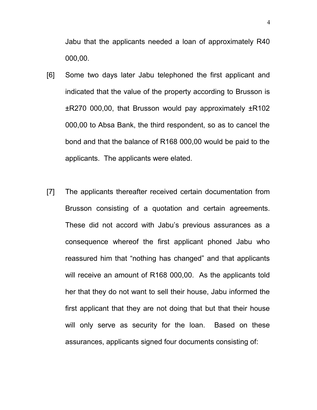Jabu that the applicants needed a loan of approximately R40 000,00.

- [6] Some two days later Jabu telephoned the first applicant and indicated that the value of the property according to Brusson is ±R270 000,00, that Brusson would pay approximately ±R102 000,00 to Absa Bank, the third respondent, so as to cancel the bond and that the balance of R168 000,00 would be paid to the applicants. The applicants were elated.
- [7] The applicants thereafter received certain documentation from Brusson consisting of a quotation and certain agreements. These did not accord with Jabu's previous assurances as a consequence whereof the first applicant phoned Jabu who reassured him that "nothing has changed" and that applicants will receive an amount of R168 000,00. As the applicants told her that they do not want to sell their house, Jabu informed the first applicant that they are not doing that but that their house will only serve as security for the loan. Based on these assurances, applicants signed four documents consisting of: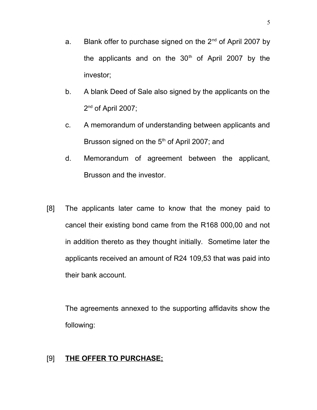- a. Blank offer to purchase signed on the  $2^{nd}$  of April 2007 by the applicants and on the  $30<sup>th</sup>$  of April 2007 by the investor;
- b. A blank Deed of Sale also signed by the applicants on the  $2<sup>nd</sup>$  of April 2007;
- c. A memorandum of understanding between applicants and Brusson signed on the 5<sup>th</sup> of April 2007; and
- d. Memorandum of agreement between the applicant, Brusson and the investor.
- [8] The applicants later came to know that the money paid to cancel their existing bond came from the R168 000,00 and not in addition thereto as they thought initially. Sometime later the applicants received an amount of R24 109,53 that was paid into their bank account.

The agreements annexed to the supporting affidavits show the following:

### [9] **THE OFFER TO PURCHASE;**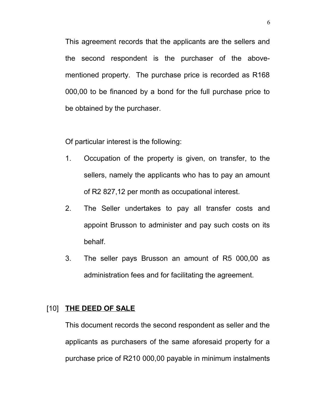This agreement records that the applicants are the sellers and the second respondent is the purchaser of the abovementioned property. The purchase price is recorded as R168 000,00 to be financed by a bond for the full purchase price to be obtained by the purchaser.

Of particular interest is the following:

- 1. Occupation of the property is given, on transfer, to the sellers, namely the applicants who has to pay an amount of R2 827,12 per month as occupational interest.
- 2. The Seller undertakes to pay all transfer costs and appoint Brusson to administer and pay such costs on its behalf.
- 3. The seller pays Brusson an amount of R5 000,00 as administration fees and for facilitating the agreement.

# [10] **THE DEED OF SALE**

This document records the second respondent as seller and the applicants as purchasers of the same aforesaid property for a purchase price of R210 000,00 payable in minimum instalments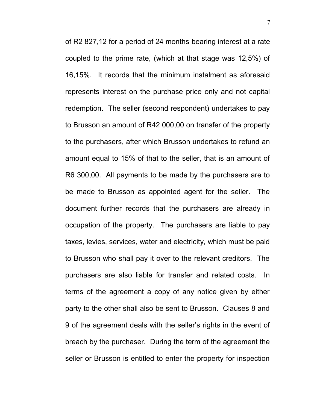of R2 827,12 for a period of 24 months bearing interest at a rate coupled to the prime rate, (which at that stage was 12,5%) of 16,15%. It records that the minimum instalment as aforesaid represents interest on the purchase price only and not capital redemption. The seller (second respondent) undertakes to pay to Brusson an amount of R42 000,00 on transfer of the property to the purchasers, after which Brusson undertakes to refund an amount equal to 15% of that to the seller, that is an amount of R6 300,00. All payments to be made by the purchasers are to be made to Brusson as appointed agent for the seller. The document further records that the purchasers are already in occupation of the property. The purchasers are liable to pay taxes, levies, services, water and electricity, which must be paid to Brusson who shall pay it over to the relevant creditors. The purchasers are also liable for transfer and related costs. In terms of the agreement a copy of any notice given by either party to the other shall also be sent to Brusson. Clauses 8 and 9 of the agreement deals with the seller's rights in the event of breach by the purchaser. During the term of the agreement the seller or Brusson is entitled to enter the property for inspection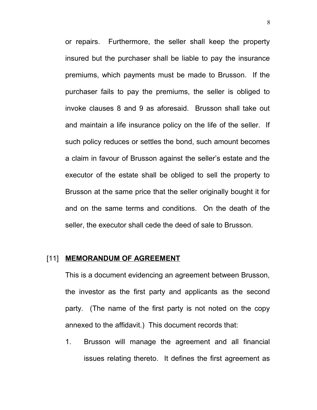or repairs. Furthermore, the seller shall keep the property insured but the purchaser shall be liable to pay the insurance premiums, which payments must be made to Brusson. If the purchaser fails to pay the premiums, the seller is obliged to invoke clauses 8 and 9 as aforesaid. Brusson shall take out and maintain a life insurance policy on the life of the seller. If such policy reduces or settles the bond, such amount becomes a claim in favour of Brusson against the seller's estate and the executor of the estate shall be obliged to sell the property to Brusson at the same price that the seller originally bought it for and on the same terms and conditions. On the death of the seller, the executor shall cede the deed of sale to Brusson.

#### [11] **MEMORANDUM OF AGREEMENT**

This is a document evidencing an agreement between Brusson, the investor as the first party and applicants as the second party. (The name of the first party is not noted on the copy annexed to the affidavit.) This document records that:

1. Brusson will manage the agreement and all financial issues relating thereto. It defines the first agreement as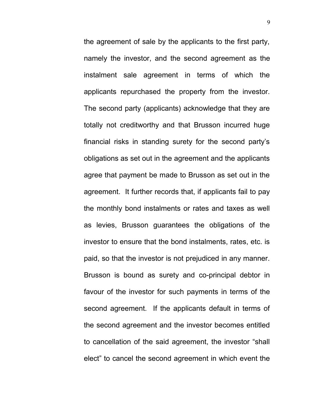the agreement of sale by the applicants to the first party, namely the investor, and the second agreement as the instalment sale agreement in terms of which the applicants repurchased the property from the investor. The second party (applicants) acknowledge that they are totally not creditworthy and that Brusson incurred huge financial risks in standing surety for the second party's obligations as set out in the agreement and the applicants agree that payment be made to Brusson as set out in the agreement. It further records that, if applicants fail to pay the monthly bond instalments or rates and taxes as well as levies, Brusson guarantees the obligations of the investor to ensure that the bond instalments, rates, etc. is paid, so that the investor is not prejudiced in any manner. Brusson is bound as surety and co-principal debtor in favour of the investor for such payments in terms of the second agreement. If the applicants default in terms of the second agreement and the investor becomes entitled to cancellation of the said agreement, the investor "shall elect" to cancel the second agreement in which event the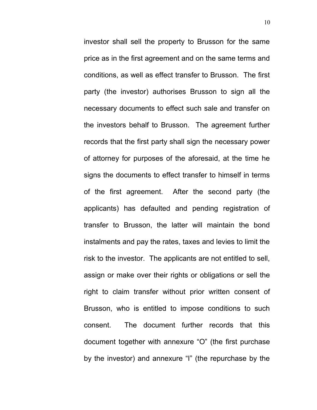investor shall sell the property to Brusson for the same price as in the first agreement and on the same terms and conditions, as well as effect transfer to Brusson. The first party (the investor) authorises Brusson to sign all the necessary documents to effect such sale and transfer on the investors behalf to Brusson. The agreement further records that the first party shall sign the necessary power of attorney for purposes of the aforesaid, at the time he signs the documents to effect transfer to himself in terms of the first agreement. After the second party (the applicants) has defaulted and pending registration of transfer to Brusson, the latter will maintain the bond instalments and pay the rates, taxes and levies to limit the risk to the investor. The applicants are not entitled to sell, assign or make over their rights or obligations or sell the right to claim transfer without prior written consent of Brusson, who is entitled to impose conditions to such consent. The document further records that this document together with annexure "O" (the first purchase by the investor) and annexure "I" (the repurchase by the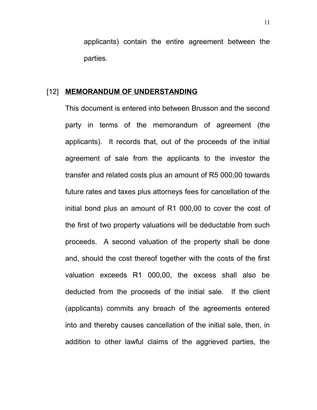applicants) contain the entire agreement between the parties.

#### [12] **MEMORANDUM OF UNDERSTANDING**

This document is entered into between Brusson and the second party in terms of the memorandum of agreement (the applicants). It records that, out of the proceeds of the initial agreement of sale from the applicants to the investor the transfer and related costs plus an amount of R5 000,00 towards future rates and taxes plus attorneys fees for cancellation of the initial bond plus an amount of R1 000,00 to cover the cost of the first of two property valuations will be deductable from such proceeds. A second valuation of the property shall be done and, should the cost thereof together with the costs of the first valuation exceeds R1 000,00, the excess shall also be deducted from the proceeds of the initial sale. If the client (applicants) commits any breach of the agreements entered into and thereby causes cancellation of the initial sale, then, in addition to other lawful claims of the aggrieved parties, the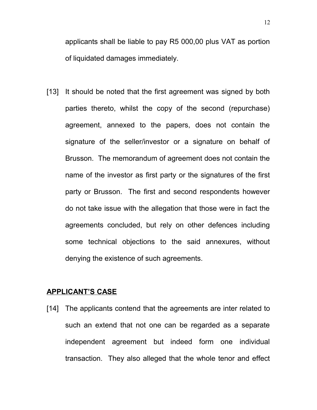applicants shall be liable to pay R5 000,00 plus VAT as portion of liquidated damages immediately.

[13] It should be noted that the first agreement was signed by both parties thereto, whilst the copy of the second (repurchase) agreement, annexed to the papers, does not contain the signature of the seller/investor or a signature on behalf of Brusson. The memorandum of agreement does not contain the name of the investor as first party or the signatures of the first party or Brusson. The first and second respondents however do not take issue with the allegation that those were in fact the agreements concluded, but rely on other defences including some technical objections to the said annexures, without denying the existence of such agreements.

#### **APPLICANT'S CASE**

[14] The applicants contend that the agreements are inter related to such an extend that not one can be regarded as a separate independent agreement but indeed form one individual transaction. They also alleged that the whole tenor and effect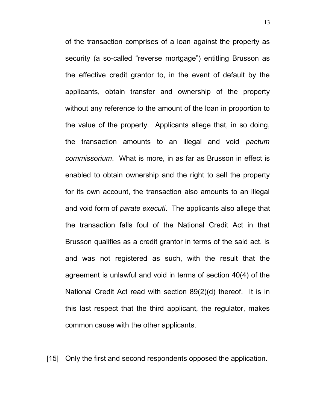of the transaction comprises of a loan against the property as security (a so-called "reverse mortgage") entitling Brusson as the effective credit grantor to, in the event of default by the applicants, obtain transfer and ownership of the property without any reference to the amount of the loan in proportion to the value of the property. Applicants allege that, in so doing, the transaction amounts to an illegal and void *pactum commissorium*. What is more, in as far as Brusson in effect is enabled to obtain ownership and the right to sell the property for its own account, the transaction also amounts to an illegal and void form of *parate executi*. The applicants also allege that the transaction falls foul of the National Credit Act in that Brusson qualifies as a credit grantor in terms of the said act, is and was not registered as such, with the result that the agreement is unlawful and void in terms of section 40(4) of the National Credit Act read with section 89(2)(d) thereof. It is in this last respect that the third applicant, the regulator, makes common cause with the other applicants.

[15] Only the first and second respondents opposed the application.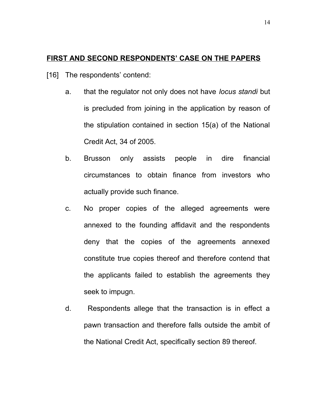### **FIRST AND SECOND RESPONDENTS' CASE ON THE PAPERS**

- [16] The respondents' contend:
	- a. that the regulator not only does not have *locus standi* but is precluded from joining in the application by reason of the stipulation contained in section 15(a) of the National Credit Act, 34 of 2005.
	- b. Brusson only assists people in dire financial circumstances to obtain finance from investors who actually provide such finance.
	- c. No proper copies of the alleged agreements were annexed to the founding affidavit and the respondents deny that the copies of the agreements annexed constitute true copies thereof and therefore contend that the applicants failed to establish the agreements they seek to impugn.
	- d. Respondents allege that the transaction is in effect a pawn transaction and therefore falls outside the ambit of the National Credit Act, specifically section 89 thereof.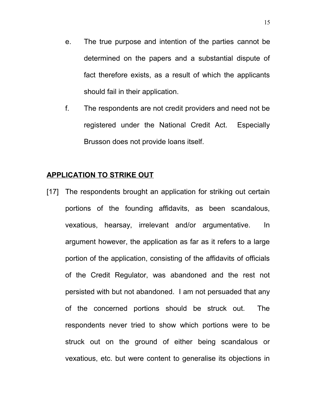- e. The true purpose and intention of the parties cannot be determined on the papers and a substantial dispute of fact therefore exists, as a result of which the applicants should fail in their application.
- f. The respondents are not credit providers and need not be registered under the National Credit Act. Especially Brusson does not provide loans itself.

### **APPLICATION TO STRIKE OUT**

[17] The respondents brought an application for striking out certain portions of the founding affidavits, as been scandalous, vexatious, hearsay, irrelevant and/or argumentative. In argument however, the application as far as it refers to a large portion of the application, consisting of the affidavits of officials of the Credit Regulator, was abandoned and the rest not persisted with but not abandoned. I am not persuaded that any of the concerned portions should be struck out. The respondents never tried to show which portions were to be struck out on the ground of either being scandalous or vexatious, etc. but were content to generalise its objections in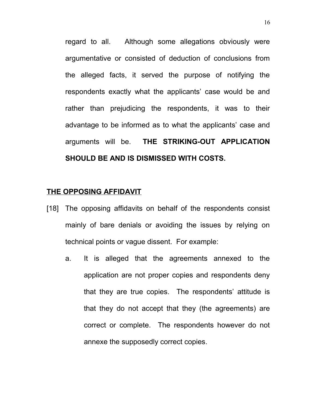regard to all. Although some allegations obviously were argumentative or consisted of deduction of conclusions from the alleged facts, it served the purpose of notifying the respondents exactly what the applicants' case would be and rather than prejudicing the respondents, it was to their advantage to be informed as to what the applicants' case and arguments will be. **THE STRIKING-OUT APPLICATION SHOULD BE AND IS DISMISSED WITH COSTS.**

#### **THE OPPOSING AFFIDAVIT**

- [18] The opposing affidavits on behalf of the respondents consist mainly of bare denials or avoiding the issues by relying on technical points or vague dissent. For example:
	- a. It is alleged that the agreements annexed to the application are not proper copies and respondents deny that they are true copies. The respondents' attitude is that they do not accept that they (the agreements) are correct or complete. The respondents however do not annexe the supposedly correct copies.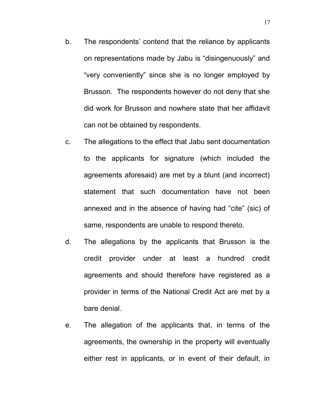- b. The respondents' contend that the reliance by applicants on representations made by Jabu is "disingenuously" and "very conveniently" since she is no longer employed by Brusson. The respondents however do not deny that she did work for Brusson and nowhere state that her affidavit can not be obtained by respondents.
- c. The allegations to the effect that Jabu sent documentation to the applicants for signature (which included the agreements aforesaid) are met by a blunt (and incorrect) statement that such documentation have not been annexed and in the absence of having had "cite" (sic) of same, respondents are unable to respond thereto.
- d. The allegations by the applicants that Brusson is the credit provider under at least a hundred credit agreements and should therefore have registered as a provider in terms of the National Credit Act are met by a bare denial.
- e. The allegation of the applicants that, in terms of the agreements, the ownership in the property will eventually either rest in applicants, or in event of their default, in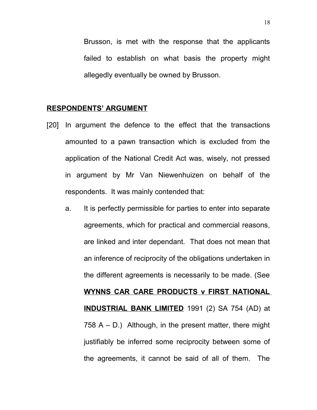Brusson, is met with the response that the applicants failed to establish on what basis the property might allegedly eventually be owned by Brusson.

#### **RESPONDENTS' ARGUMENT**

- [20] In argument the defence to the effect that the transactions amounted to a pawn transaction which is excluded from the application of the National Credit Act was, wisely, not pressed in argument by Mr Van Niewenhuizen on behalf of the respondents. It was mainly contended that:
	- a. It is perfectly permissible for parties to enter into separate agreements, which for practical and commercial reasons, are linked and inter dependant. That does not mean that an inference of reciprocity of the obligations undertaken in the different agreements is necessarily to be made. (See **WYNNS CAR CARE PRODUCTS v FIRST NATIONAL INDUSTRIAL BANK LIMITED** 1991 (2) SA 754 (AD) at 758  $A - D$ .) Although, in the present matter, there might justifiably be inferred some reciprocity between some of the agreements, it cannot be said of all of them. The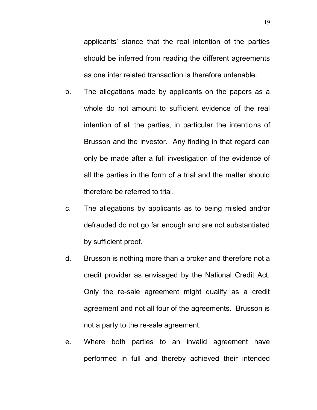applicants' stance that the real intention of the parties should be inferred from reading the different agreements as one inter related transaction is therefore untenable.

- b. The allegations made by applicants on the papers as a whole do not amount to sufficient evidence of the real intention of all the parties, in particular the intentions of Brusson and the investor. Any finding in that regard can only be made after a full investigation of the evidence of all the parties in the form of a trial and the matter should therefore be referred to trial.
- c. The allegations by applicants as to being misled and/or defrauded do not go far enough and are not substantiated by sufficient proof.
- d. Brusson is nothing more than a broker and therefore not a credit provider as envisaged by the National Credit Act. Only the re-sale agreement might qualify as a credit agreement and not all four of the agreements. Brusson is not a party to the re-sale agreement.
- e. Where both parties to an invalid agreement have performed in full and thereby achieved their intended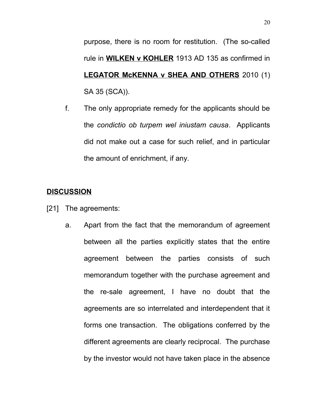purpose, there is no room for restitution. (The so-called rule in **WILKEN v KOHLER** 1913 AD 135 as confirmed in **LEGATOR McKENNA v SHEA AND OTHERS** 2010 (1) SA 35 (SCA)).

f. The only appropriate remedy for the applicants should be the *condictio ob turpem wel iniustam causa*. Applicants did not make out a case for such relief, and in particular the amount of enrichment, if any.

# **DISCUSSION**

- [21] The agreements:
	- a. Apart from the fact that the memorandum of agreement between all the parties explicitly states that the entire agreement between the parties consists of such memorandum together with the purchase agreement and the re-sale agreement, I have no doubt that the agreements are so interrelated and interdependent that it forms one transaction. The obligations conferred by the different agreements are clearly reciprocal. The purchase by the investor would not have taken place in the absence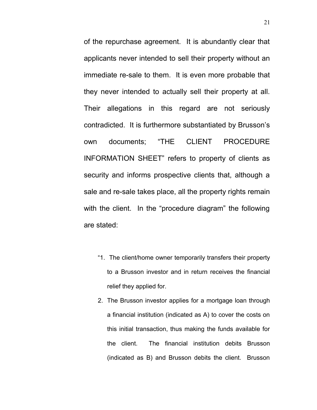of the repurchase agreement. It is abundantly clear that applicants never intended to sell their property without an immediate re-sale to them. It is even more probable that they never intended to actually sell their property at all. Their allegations in this regard are not seriously contradicted. It is furthermore substantiated by Brusson's own documents; "THE CLIENT PROCEDURE INFORMATION SHEET" refers to property of clients as security and informs prospective clients that, although a sale and re-sale takes place, all the property rights remain with the client. In the "procedure diagram" the following are stated:

- "1. The client/home owner temporarily transfers their property to a Brusson investor and in return receives the financial relief they applied for.
- 2. The Brusson investor applies for a mortgage loan through a financial institution (indicated as A) to cover the costs on this initial transaction, thus making the funds available for the client. The financial institution debits Brusson (indicated as B) and Brusson debits the client. Brusson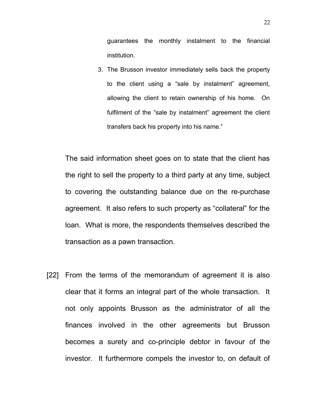guarantees the monthly instalment to the financial institution.

3. The Brusson investor immediately sells back the property to the client using a "sale by instalment" agreement, allowing the client to retain ownership of his home. On fulfilment of the "sale by instalment" agreement the client transfers back his property into his name."

The said information sheet goes on to state that the client has the right to sell the property to a third party at any time, subject to covering the outstanding balance due on the re-purchase agreement. It also refers to such property as "collateral" for the loan. What is more, the respondents themselves described the transaction as a pawn transaction.

[22] From the terms of the memorandum of agreement it is also clear that it forms an integral part of the whole transaction. It not only appoints Brusson as the administrator of all the finances involved in the other agreements but Brusson becomes a surety and co-principle debtor in favour of the investor. It furthermore compels the investor to, on default of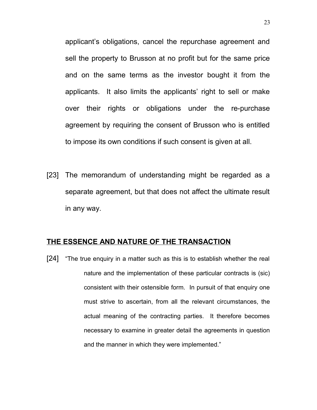applicant's obligations, cancel the repurchase agreement and sell the property to Brusson at no profit but for the same price and on the same terms as the investor bought it from the applicants. It also limits the applicants' right to sell or make over their rights or obligations under the re-purchase agreement by requiring the consent of Brusson who is entitled to impose its own conditions if such consent is given at all.

[23] The memorandum of understanding might be regarded as a separate agreement, but that does not affect the ultimate result in any way.

### **THE ESSENCE AND NATURE OF THE TRANSACTION**

[24] "The true enquiry in a matter such as this is to establish whether the real nature and the implementation of these particular contracts is (sic) consistent with their ostensible form. In pursuit of that enquiry one must strive to ascertain, from all the relevant circumstances, the actual meaning of the contracting parties. It therefore becomes necessary to examine in greater detail the agreements in question and the manner in which they were implemented."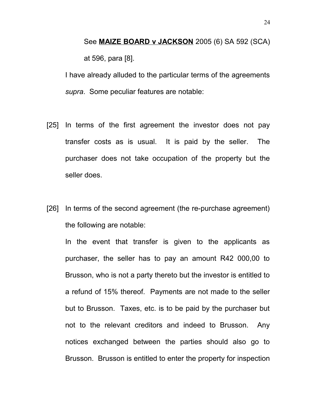See **MAIZE BOARD v JACKSON** 2005 (6) SA 592 (SCA) at 596, para [8].

I have already alluded to the particular terms of the agreements *supra*. Some peculiar features are notable:

- [25] In terms of the first agreement the investor does not pay transfer costs as is usual. It is paid by the seller. The purchaser does not take occupation of the property but the seller does.
- [26] In terms of the second agreement (the re-purchase agreement) the following are notable:

In the event that transfer is given to the applicants as purchaser, the seller has to pay an amount R42 000,00 to Brusson, who is not a party thereto but the investor is entitled to a refund of 15% thereof. Payments are not made to the seller but to Brusson. Taxes, etc. is to be paid by the purchaser but not to the relevant creditors and indeed to Brusson. Any notices exchanged between the parties should also go to Brusson. Brusson is entitled to enter the property for inspection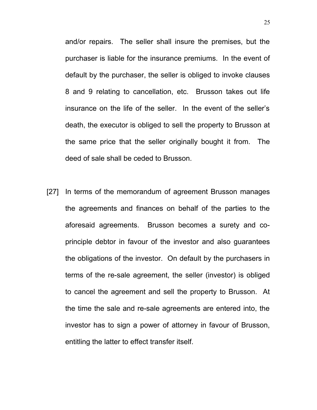and/or repairs. The seller shall insure the premises, but the purchaser is liable for the insurance premiums. In the event of default by the purchaser, the seller is obliged to invoke clauses 8 and 9 relating to cancellation, etc. Brusson takes out life insurance on the life of the seller. In the event of the seller's death, the executor is obliged to sell the property to Brusson at the same price that the seller originally bought it from. The deed of sale shall be ceded to Brusson.

[27] In terms of the memorandum of agreement Brusson manages the agreements and finances on behalf of the parties to the aforesaid agreements. Brusson becomes a surety and coprinciple debtor in favour of the investor and also guarantees the obligations of the investor. On default by the purchasers in terms of the re-sale agreement, the seller (investor) is obliged to cancel the agreement and sell the property to Brusson. At the time the sale and re-sale agreements are entered into, the investor has to sign a power of attorney in favour of Brusson, entitling the latter to effect transfer itself.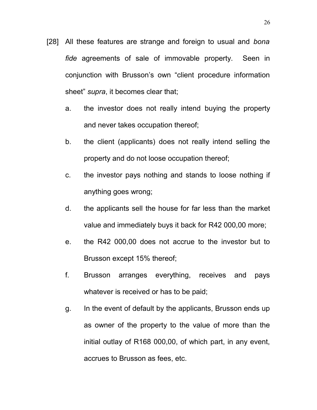- [28] All these features are strange and foreign to usual and *bona fide* agreements of sale of immovable property. Seen in conjunction with Brusson's own "client procedure information sheet" *supra*, it becomes clear that;
	- a. the investor does not really intend buying the property and never takes occupation thereof;
	- b. the client (applicants) does not really intend selling the property and do not loose occupation thereof;
	- c. the investor pays nothing and stands to loose nothing if anything goes wrong;
	- d. the applicants sell the house for far less than the market value and immediately buys it back for R42 000,00 more;
	- e. the R42 000,00 does not accrue to the investor but to Brusson except 15% thereof;
	- f. Brusson arranges everything, receives and pays whatever is received or has to be paid;
	- g. In the event of default by the applicants, Brusson ends up as owner of the property to the value of more than the initial outlay of R168 000,00, of which part, in any event, accrues to Brusson as fees, etc.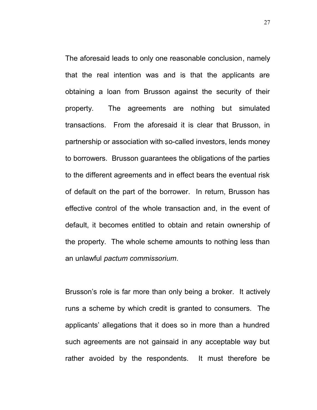The aforesaid leads to only one reasonable conclusion, namely that the real intention was and is that the applicants are obtaining a loan from Brusson against the security of their property. The agreements are nothing but simulated transactions. From the aforesaid it is clear that Brusson, in partnership or association with so-called investors, lends money to borrowers. Brusson guarantees the obligations of the parties to the different agreements and in effect bears the eventual risk of default on the part of the borrower. In return, Brusson has effective control of the whole transaction and, in the event of default, it becomes entitled to obtain and retain ownership of the property. The whole scheme amounts to nothing less than an unlawful *pactum commissorium*.

Brusson's role is far more than only being a broker. It actively runs a scheme by which credit is granted to consumers. The applicants' allegations that it does so in more than a hundred such agreements are not gainsaid in any acceptable way but rather avoided by the respondents. It must therefore be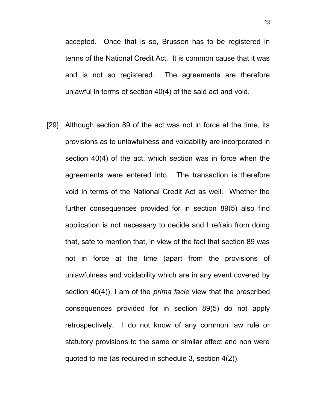accepted. Once that is so, Brusson has to be registered in terms of the National Credit Act. It is common cause that it was and is not so registered. The agreements are therefore unlawful in terms of section 40(4) of the said act and void.

[29] Although section 89 of the act was not in force at the time, its provisions as to unlawfulness and voidability are incorporated in section 40(4) of the act, which section was in force when the agreements were entered into. The transaction is therefore void in terms of the National Credit Act as well. Whether the further consequences provided for in section 89(5) also find application is not necessary to decide and I refrain from doing that, safe to mention that, in view of the fact that section 89 was not in force at the time (apart from the provisions of unlawfulness and voidability which are in any event covered by section 40(4)), I am of the *prima facie* view that the prescribed consequences provided for in section 89(5) do not apply retrospectively. I do not know of any common law rule or statutory provisions to the same or similar effect and non were quoted to me (as required in schedule 3, section 4(2)).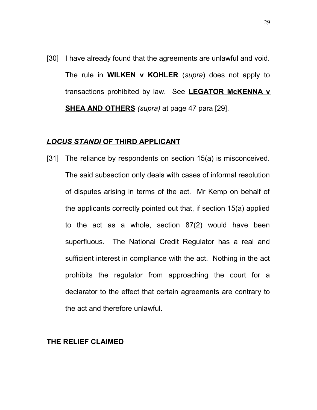[30] I have already found that the agreements are unlawful and void. The rule in **WILKEN v KOHLER** (*supra*) does not apply to transactions prohibited by law. See **LEGATOR McKENNA v SHEA AND OTHERS** *(supra)* at page 47 para [29].

### *LOCUS STANDI* **OF THIRD APPLICANT**

[31] The reliance by respondents on section 15(a) is misconceived. The said subsection only deals with cases of informal resolution of disputes arising in terms of the act. Mr Kemp on behalf of the applicants correctly pointed out that, if section 15(a) applied to the act as a whole, section 87(2) would have been superfluous. The National Credit Regulator has a real and sufficient interest in compliance with the act. Nothing in the act prohibits the regulator from approaching the court for a declarator to the effect that certain agreements are contrary to the act and therefore unlawful.

#### **THE RELIEF CLAIMED**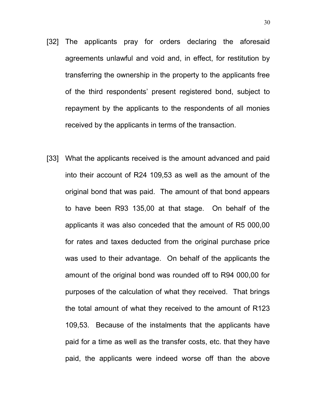- [32] The applicants pray for orders declaring the aforesaid agreements unlawful and void and, in effect, for restitution by transferring the ownership in the property to the applicants free of the third respondents' present registered bond, subject to repayment by the applicants to the respondents of all monies received by the applicants in terms of the transaction.
- [33] What the applicants received is the amount advanced and paid into their account of R24 109,53 as well as the amount of the original bond that was paid. The amount of that bond appears to have been R93 135,00 at that stage. On behalf of the applicants it was also conceded that the amount of R5 000,00 for rates and taxes deducted from the original purchase price was used to their advantage. On behalf of the applicants the amount of the original bond was rounded off to R94 000,00 for purposes of the calculation of what they received. That brings the total amount of what they received to the amount of R123 109,53. Because of the instalments that the applicants have paid for a time as well as the transfer costs, etc. that they have paid, the applicants were indeed worse off than the above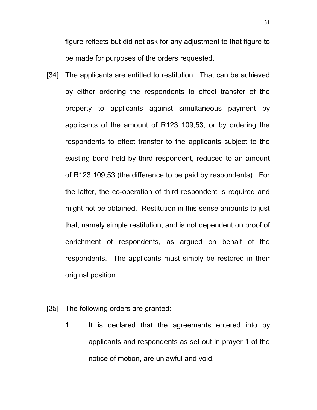figure reflects but did not ask for any adjustment to that figure to be made for purposes of the orders requested.

- [34] The applicants are entitled to restitution. That can be achieved by either ordering the respondents to effect transfer of the property to applicants against simultaneous payment by applicants of the amount of R123 109,53, or by ordering the respondents to effect transfer to the applicants subject to the existing bond held by third respondent, reduced to an amount of R123 109,53 (the difference to be paid by respondents). For the latter, the co-operation of third respondent is required and might not be obtained. Restitution in this sense amounts to just that, namely simple restitution, and is not dependent on proof of enrichment of respondents, as argued on behalf of the respondents. The applicants must simply be restored in their original position.
- [35] The following orders are granted:
	- 1. It is declared that the agreements entered into by applicants and respondents as set out in prayer 1 of the notice of motion, are unlawful and void.

31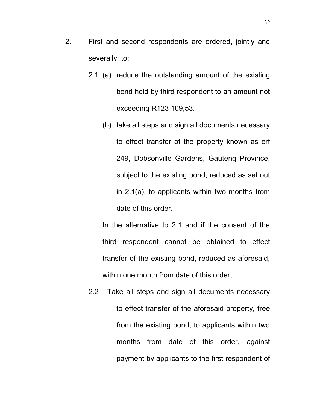- 2. First and second respondents are ordered, jointly and severally, to:
	- 2.1 (a) reduce the outstanding amount of the existing bond held by third respondent to an amount not exceeding R123 109,53.
		- (b) take all steps and sign all documents necessary to effect transfer of the property known as erf 249, Dobsonville Gardens, Gauteng Province, subject to the existing bond, reduced as set out in 2.1(a), to applicants within two months from date of this order.

In the alternative to 2.1 and if the consent of the third respondent cannot be obtained to effect transfer of the existing bond, reduced as aforesaid, within one month from date of this order;

2.2 Take all steps and sign all documents necessary to effect transfer of the aforesaid property, free from the existing bond, to applicants within two months from date of this order, against payment by applicants to the first respondent of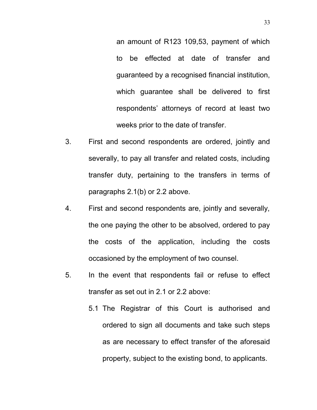an amount of R123 109,53, payment of which to be effected at date of transfer and guaranteed by a recognised financial institution, which guarantee shall be delivered to first respondents' attorneys of record at least two weeks prior to the date of transfer.

- 3. First and second respondents are ordered, jointly and severally, to pay all transfer and related costs, including transfer duty, pertaining to the transfers in terms of paragraphs 2.1(b) or 2.2 above.
- 4. First and second respondents are, jointly and severally, the one paying the other to be absolved, ordered to pay the costs of the application, including the costs occasioned by the employment of two counsel.
- 5. In the event that respondents fail or refuse to effect transfer as set out in 2.1 or 2.2 above:
	- 5.1 The Registrar of this Court is authorised and ordered to sign all documents and take such steps as are necessary to effect transfer of the aforesaid property, subject to the existing bond, to applicants.